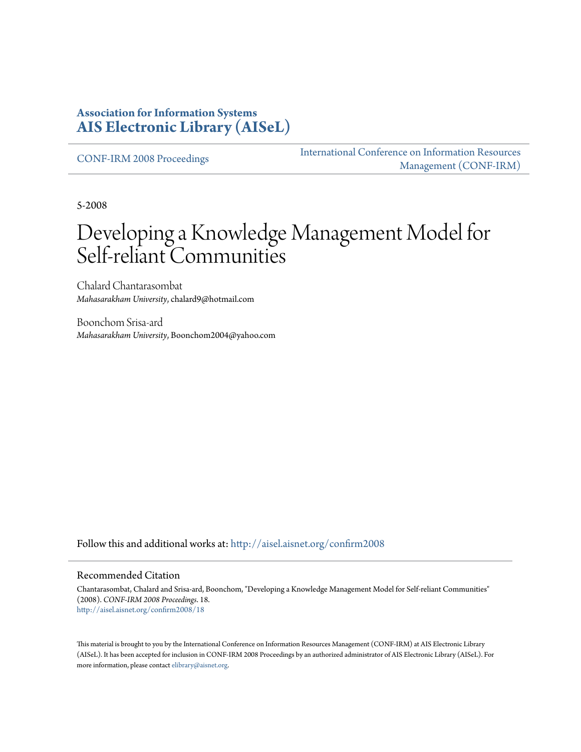#### **Association for Information Systems [AIS Electronic Library \(AISeL\)](http://aisel.aisnet.org?utm_source=aisel.aisnet.org%2Fconfirm2008%2F18&utm_medium=PDF&utm_campaign=PDFCoverPages)**

[CONF-IRM 2008 Proceedings](http://aisel.aisnet.org/confirm2008?utm_source=aisel.aisnet.org%2Fconfirm2008%2F18&utm_medium=PDF&utm_campaign=PDFCoverPages)

[International Conference on Information Resources](http://aisel.aisnet.org/conf-irm?utm_source=aisel.aisnet.org%2Fconfirm2008%2F18&utm_medium=PDF&utm_campaign=PDFCoverPages) [Management \(CONF-IRM\)](http://aisel.aisnet.org/conf-irm?utm_source=aisel.aisnet.org%2Fconfirm2008%2F18&utm_medium=PDF&utm_campaign=PDFCoverPages)

5-2008

# Developing a Knowledge Management Model for Self-reliant Communities

Chalard Chantarasombat *Mahasarakham University*, chalard9@hotmail.com

Boonchom Srisa-ard *Mahasarakham University*, Boonchom2004@yahoo.com

Follow this and additional works at: [http://aisel.aisnet.org/confirm2008](http://aisel.aisnet.org/confirm2008?utm_source=aisel.aisnet.org%2Fconfirm2008%2F18&utm_medium=PDF&utm_campaign=PDFCoverPages)

#### Recommended Citation

Chantarasombat, Chalard and Srisa-ard, Boonchom, "Developing a Knowledge Management Model for Self-reliant Communities" (2008). *CONF-IRM 2008 Proceedings*. 18. [http://aisel.aisnet.org/confirm2008/18](http://aisel.aisnet.org/confirm2008/18?utm_source=aisel.aisnet.org%2Fconfirm2008%2F18&utm_medium=PDF&utm_campaign=PDFCoverPages)

This material is brought to you by the International Conference on Information Resources Management (CONF-IRM) at AIS Electronic Library (AISeL). It has been accepted for inclusion in CONF-IRM 2008 Proceedings by an authorized administrator of AIS Electronic Library (AISeL). For more information, please contact [elibrary@aisnet.org.](mailto:elibrary@aisnet.org%3E)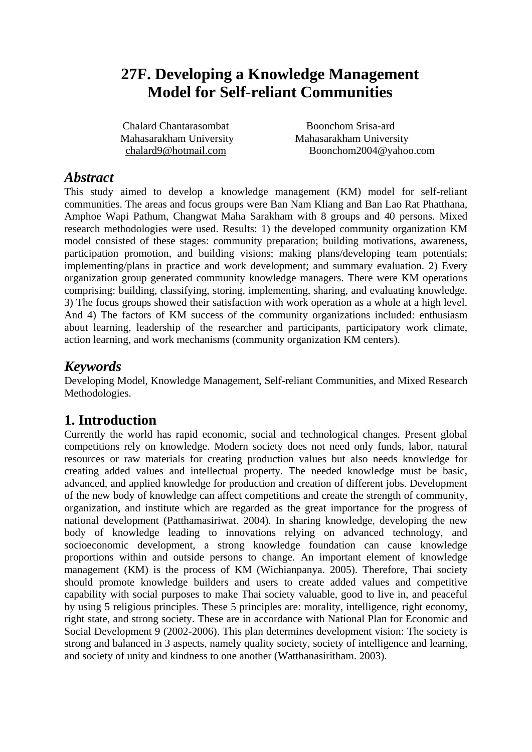# **27F. Developing a Knowledge Management Model for Self-reliant Communities**

Chalard Chantarasombat Mahasarakham University chalard9@hotmail.com

Boonchom Srisa-ard Mahasarakham University Boonchom2004@yahoo.com

#### *Abstract*

This study aimed to develop a knowledge management (KM) model for self-reliant communities. The areas and focus groups were Ban Nam Kliang and Ban Lao Rat Phatthana, Amphoe Wapi Pathum, Changwat Maha Sarakham with 8 groups and 40 persons. Mixed research methodologies were used. Results: 1) the developed community organization KM model consisted of these stages: community preparation; building motivations, awareness, participation promotion, and building visions; making plans/developing team potentials; implementing/plans in practice and work development; and summary evaluation. 2) Every organization group generated community knowledge managers. There were KM operations comprising: building, classifying, storing, implementing, sharing, and evaluating knowledge. 3) The focus groups showed their satisfaction with work operation as a whole at a high level. And 4) The factors of KM success of the community organizations included: enthusiasm about learning, leadership of the researcher and participants, participatory work climate, action learning, and work mechanisms (community organization KM centers).

# *Keywords*

Developing Model, Knowledge Management, Self-reliant Communities, and Mixed Research Methodologies.

# **1. Introduction**

Currently the world has rapid economic, social and technological changes. Present global competitions rely on knowledge. Modern society does not need only funds, labor, natural resources or raw materials for creating production values but also needs knowledge for creating added values and intellectual property. The needed knowledge must be basic, advanced, and applied knowledge for production and creation of different jobs. Development of the new body of knowledge can affect competitions and create the strength of community, organization, and institute which are regarded as the great importance for the progress of national development (Patthamasiriwat. 2004). In sharing knowledge, developing the new body of knowledge leading to innovations relying on advanced technology, and socioeconomic development, a strong knowledge foundation can cause knowledge proportions within and outside persons to change. An important element of knowledge management (KM) is the process of KM (Wichianpanya. 2005). Therefore, Thai society should promote knowledge builders and users to create added values and competitive capability with social purposes to make Thai society valuable, good to live in, and peaceful by using 5 religious principles. These 5 principles are: morality, intelligence, right economy, right state, and strong society. These are in accordance with National Plan for Economic and Social Development 9 (2002-2006). This plan determines development vision: The society is strong and balanced in 3 aspects, namely quality society, society of intelligence and learning, and society of unity and kindness to one another (Watthanasiritham. 2003).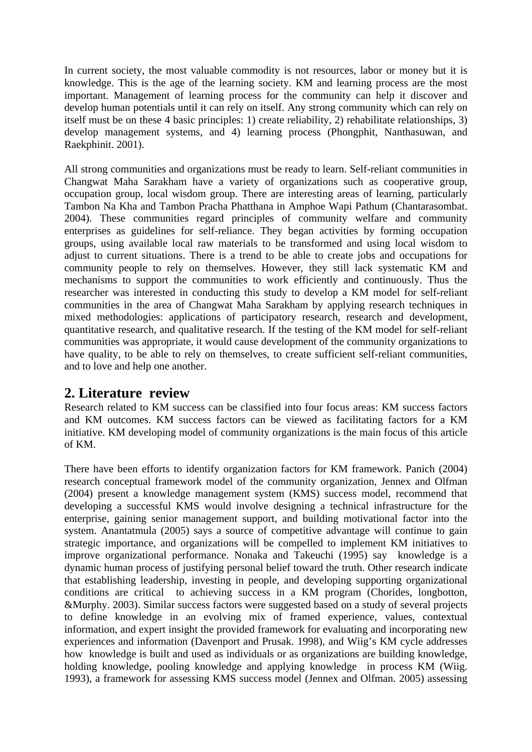In current society, the most valuable commodity is not resources, labor or money but it is knowledge. This is the age of the learning society. KM and learning process are the most important. Management of learning process for the community can help it discover and develop human potentials until it can rely on itself. Any strong community which can rely on itself must be on these 4 basic principles: 1) create reliability, 2) rehabilitate relationships, 3) develop management systems, and 4) learning process (Phongphit, Nanthasuwan, and Raekphinit. 2001).

All strong communities and organizations must be ready to learn. Self-reliant communities in Changwat Maha Sarakham have a variety of organizations such as cooperative group, occupation group, local wisdom group. There are interesting areas of learning, particularly Tambon Na Kha and Tambon Pracha Phatthana in Amphoe Wapi Pathum (Chantarasombat. 2004). These communities regard principles of community welfare and community enterprises as guidelines for self-reliance. They began activities by forming occupation groups, using available local raw materials to be transformed and using local wisdom to adjust to current situations. There is a trend to be able to create jobs and occupations for community people to rely on themselves. However, they still lack systematic KM and mechanisms to support the communities to work efficiently and continuously. Thus the researcher was interested in conducting this study to develop a KM model for self-reliant communities in the area of Changwat Maha Sarakham by applying research techniques in mixed methodologies: applications of participatory research, research and development, quantitative research, and qualitative research. If the testing of the KM model for self-reliant communities was appropriate, it would cause development of the community organizations to have quality, to be able to rely on themselves, to create sufficient self-reliant communities, and to love and help one another.

### **2. Literature review**

Research related to KM success can be classified into four focus areas: KM success factors and KM outcomes. KM success factors can be viewed as facilitating factors for a KM initiative. KM developing model of community organizations is the main focus of this article of KM.

There have been efforts to identify organization factors for KM framework. Panich (2004) research conceptual framework model of the community organization, Jennex and Olfman (2004) present a knowledge management system (KMS) success model, recommend that developing a successful KMS would involve designing a technical infrastructure for the enterprise, gaining senior management support, and building motivational factor into the system. Anantatmula (2005) says a source of competitive advantage will continue to gain strategic importance, and organizations will be compelled to implement KM initiatives to improve organizational performance. Nonaka and Takeuchi (1995) say knowledge is a dynamic human process of justifying personal belief toward the truth. Other research indicate that establishing leadership, investing in people, and developing supporting organizational conditions are critical to achieving success in a KM program (Chorides, longbotton, &Murphy. 2003). Similar success factors were suggested based on a study of several projects to define knowledge in an evolving mix of framed experience, values, contextual information, and expert insight the provided framework for evaluating and incorporating new experiences and information (Davenport and Prusak. 1998), and Wiig's KM cycle addresses how knowledge is built and used as individuals or as organizations are building knowledge, holding knowledge, pooling knowledge and applying knowledge in process KM (Wiig. 1993), a framework for assessing KMS success model (Jennex and Olfman. 2005) assessing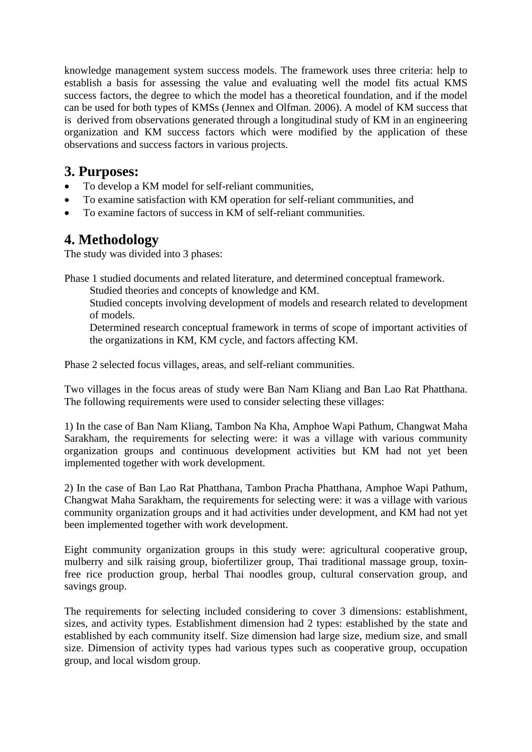knowledge management system success models. The framework uses three criteria: help to establish a basis for assessing the value and evaluating well the model fits actual KMS success factors, the degree to which the model has a theoretical foundation, and if the model can be used for both types of KMSs (Jennex and Olfman. 2006). A model of KM success that is derived from observations generated through a longitudinal study of KM in an engineering organization and KM success factors which were modified by the application of these observations and success factors in various projects.

# **3. Purposes:**

- To develop a KM model for self-reliant communities,
- To examine satisfaction with KM operation for self-reliant communities, and
- To examine factors of success in KM of self-reliant communities.

# **4. Methodology**

The study was divided into 3 phases:

Phase 1 studied documents and related literature, and determined conceptual framework. Studied theories and concepts of knowledge and KM.

Studied concepts involving development of models and research related to development of models.

Determined research conceptual framework in terms of scope of important activities of the organizations in KM, KM cycle, and factors affecting KM.

Phase 2 selected focus villages, areas, and self-reliant communities.

Two villages in the focus areas of study were Ban Nam Kliang and Ban Lao Rat Phatthana. The following requirements were used to consider selecting these villages:

1) In the case of Ban Nam Kliang, Tambon Na Kha, Amphoe Wapi Pathum, Changwat Maha Sarakham, the requirements for selecting were: it was a village with various community organization groups and continuous development activities but KM had not yet been implemented together with work development.

2) In the case of Ban Lao Rat Phatthana, Tambon Pracha Phatthana, Amphoe Wapi Pathum, Changwat Maha Sarakham, the requirements for selecting were: it was a village with various community organization groups and it had activities under development, and KM had not yet been implemented together with work development.

Eight community organization groups in this study were: agricultural cooperative group, mulberry and silk raising group, biofertilizer group, Thai traditional massage group, toxinfree rice production group, herbal Thai noodles group, cultural conservation group, and savings group.

The requirements for selecting included considering to cover 3 dimensions: establishment, sizes, and activity types. Establishment dimension had 2 types: established by the state and established by each community itself. Size dimension had large size, medium size, and small size. Dimension of activity types had various types such as cooperative group, occupation group, and local wisdom group.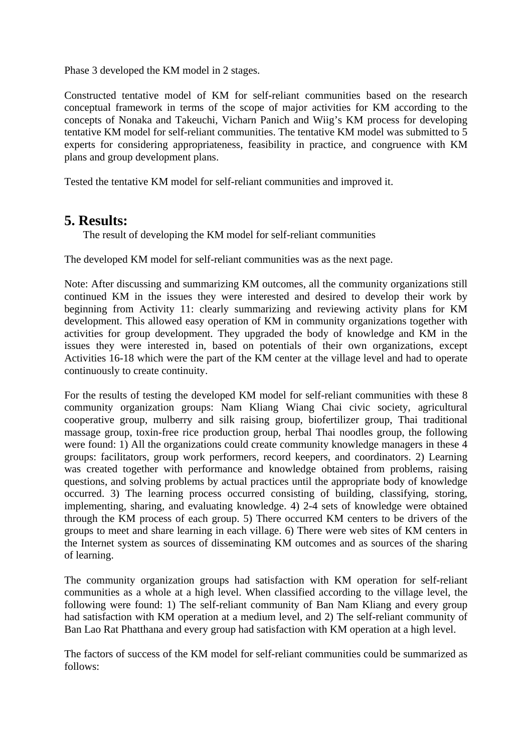Phase 3 developed the KM model in 2 stages.

Constructed tentative model of KM for self-reliant communities based on the research conceptual framework in terms of the scope of major activities for KM according to the concepts of Nonaka and Takeuchi, Vicharn Panich and Wiig's KM process for developing tentative KM model for self-reliant communities. The tentative KM model was submitted to 5 experts for considering appropriateness, feasibility in practice, and congruence with KM plans and group development plans.

Tested the tentative KM model for self-reliant communities and improved it.

#### **5. Results:**

The result of developing the KM model for self-reliant communities

The developed KM model for self-reliant communities was as the next page.

Note: After discussing and summarizing KM outcomes, all the community organizations still continued KM in the issues they were interested and desired to develop their work by beginning from Activity 11: clearly summarizing and reviewing activity plans for KM development. This allowed easy operation of KM in community organizations together with activities for group development. They upgraded the body of knowledge and KM in the issues they were interested in, based on potentials of their own organizations, except Activities 16-18 which were the part of the KM center at the village level and had to operate continuously to create continuity.

For the results of testing the developed KM model for self-reliant communities with these 8 community organization groups: Nam Kliang Wiang Chai civic society, agricultural cooperative group, mulberry and silk raising group, biofertilizer group, Thai traditional massage group, toxin-free rice production group, herbal Thai noodles group, the following were found: 1) All the organizations could create community knowledge managers in these 4 groups: facilitators, group work performers, record keepers, and coordinators. 2) Learning was created together with performance and knowledge obtained from problems, raising questions, and solving problems by actual practices until the appropriate body of knowledge occurred. 3) The learning process occurred consisting of building, classifying, storing, implementing, sharing, and evaluating knowledge. 4) 2-4 sets of knowledge were obtained through the KM process of each group. 5) There occurred KM centers to be drivers of the groups to meet and share learning in each village. 6) There were web sites of KM centers in the Internet system as sources of disseminating KM outcomes and as sources of the sharing of learning.

The community organization groups had satisfaction with KM operation for self-reliant communities as a whole at a high level. When classified according to the village level, the following were found: 1) The self-reliant community of Ban Nam Kliang and every group had satisfaction with KM operation at a medium level, and 2) The self-reliant community of Ban Lao Rat Phatthana and every group had satisfaction with KM operation at a high level.

The factors of success of the KM model for self-reliant communities could be summarized as follows: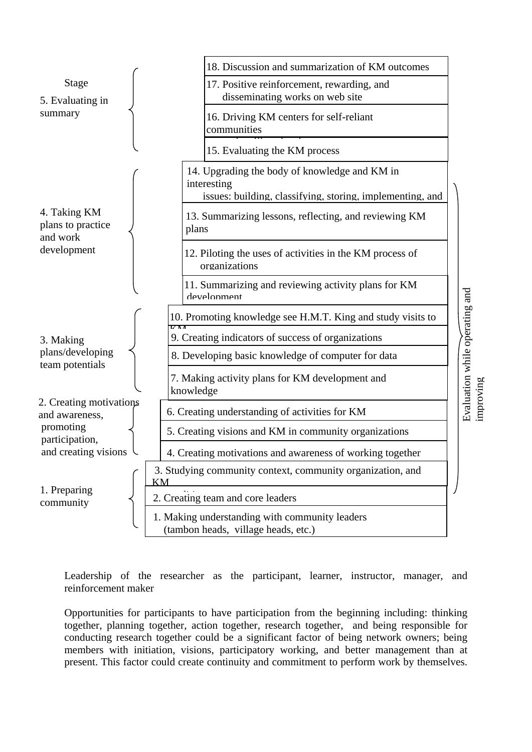

Leadership of the researcher as the participant, learner, instructor, manager, and reinforcement maker

Opportunities for participants to have participation from the beginning including: thinking together, planning together, action together, research together, and being responsible for conducting research together could be a significant factor of being network owners; being members with initiation, visions, participatory working, and better management than at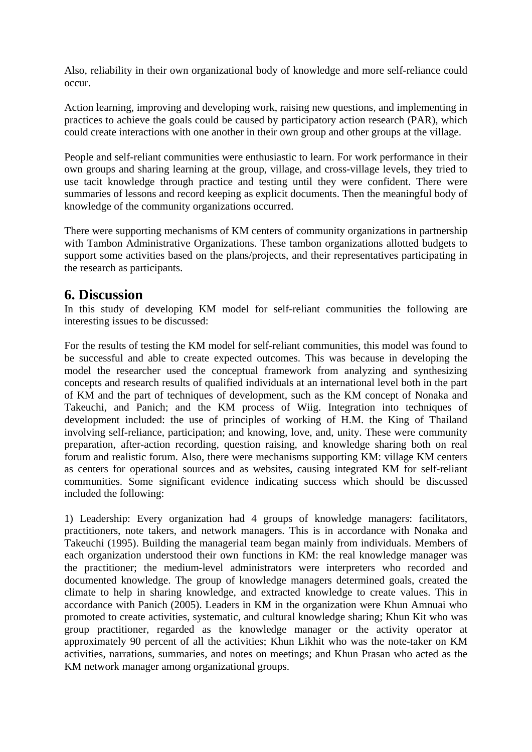Also, reliability in their own organizational body of knowledge and more self-reliance could occur.

Action learning, improving and developing work, raising new questions, and implementing in practices to achieve the goals could be caused by participatory action research (PAR), which could create interactions with one another in their own group and other groups at the village.

People and self-reliant communities were enthusiastic to learn. For work performance in their own groups and sharing learning at the group, village, and cross-village levels, they tried to use tacit knowledge through practice and testing until they were confident. There were summaries of lessons and record keeping as explicit documents. Then the meaningful body of knowledge of the community organizations occurred.

There were supporting mechanisms of KM centers of community organizations in partnership with Tambon Administrative Organizations. These tambon organizations allotted budgets to support some activities based on the plans/projects, and their representatives participating in the research as participants.

### **6. Discussion**

In this study of developing KM model for self-reliant communities the following are interesting issues to be discussed:

For the results of testing the KM model for self-reliant communities, this model was found to be successful and able to create expected outcomes. This was because in developing the model the researcher used the conceptual framework from analyzing and synthesizing concepts and research results of qualified individuals at an international level both in the part of KM and the part of techniques of development, such as the KM concept of Nonaka and Takeuchi, and Panich; and the KM process of Wiig. Integration into techniques of development included: the use of principles of working of H.M. the King of Thailand involving self-reliance, participation; and knowing, love, and, unity. These were community preparation, after-action recording, question raising, and knowledge sharing both on real forum and realistic forum. Also, there were mechanisms supporting KM: village KM centers as centers for operational sources and as websites, causing integrated KM for self-reliant communities. Some significant evidence indicating success which should be discussed included the following:

1) Leadership: Every organization had 4 groups of knowledge managers: facilitators, practitioners, note takers, and network managers. This is in accordance with Nonaka and Takeuchi (1995). Building the managerial team began mainly from individuals. Members of each organization understood their own functions in KM: the real knowledge manager was the practitioner; the medium-level administrators were interpreters who recorded and documented knowledge. The group of knowledge managers determined goals, created the climate to help in sharing knowledge, and extracted knowledge to create values. This in accordance with Panich (2005). Leaders in KM in the organization were Khun Amnuai who promoted to create activities, systematic, and cultural knowledge sharing; Khun Kit who was group practitioner, regarded as the knowledge manager or the activity operator at approximately 90 percent of all the activities; Khun Likhit who was the note-taker on KM activities, narrations, summaries, and notes on meetings; and Khun Prasan who acted as the KM network manager among organizational groups.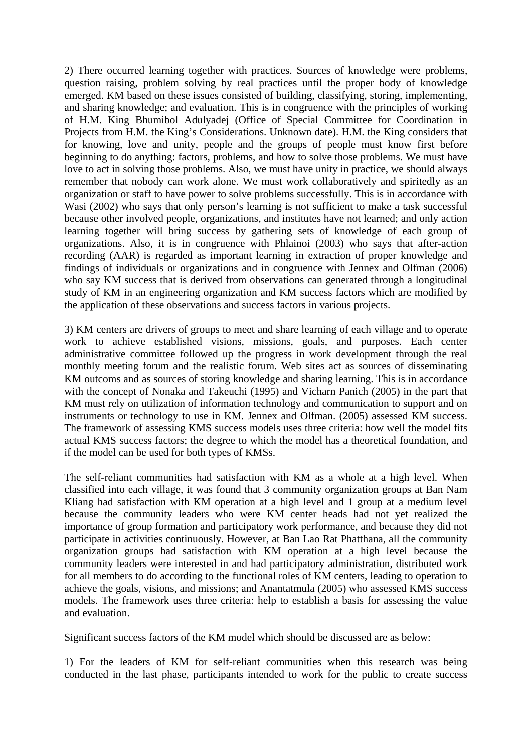2) There occurred learning together with practices. Sources of knowledge were problems, question raising, problem solving by real practices until the proper body of knowledge emerged. KM based on these issues consisted of building, classifying, storing, implementing, and sharing knowledge; and evaluation. This is in congruence with the principles of working of H.M. King Bhumibol Adulyadej (Office of Special Committee for Coordination in Projects from H.M. the King's Considerations. Unknown date). H.M. the King considers that for knowing, love and unity, people and the groups of people must know first before beginning to do anything: factors, problems, and how to solve those problems. We must have love to act in solving those problems. Also, we must have unity in practice, we should always remember that nobody can work alone. We must work collaboratively and spiritedly as an organization or staff to have power to solve problems successfully. This is in accordance with Wasi (2002) who says that only person's learning is not sufficient to make a task successful because other involved people, organizations, and institutes have not learned; and only action learning together will bring success by gathering sets of knowledge of each group of organizations. Also, it is in congruence with Phlainoi (2003) who says that after-action recording (AAR) is regarded as important learning in extraction of proper knowledge and findings of individuals or organizations and in congruence with Jennex and Olfman (2006) who say KM success that is derived from observations can generated through a longitudinal study of KM in an engineering organization and KM success factors which are modified by the application of these observations and success factors in various projects.

3) KM centers are drivers of groups to meet and share learning of each village and to operate work to achieve established visions, missions, goals, and purposes. Each center administrative committee followed up the progress in work development through the real monthly meeting forum and the realistic forum. Web sites act as sources of disseminating KM outcoms and as sources of storing knowledge and sharing learning. This is in accordance with the concept of Nonaka and Takeuchi (1995) and Vicharn Panich (2005) in the part that KM must rely on utilization of information technology and communication to support and on instruments or technology to use in KM. Jennex and Olfman. (2005) assessed KM success. The framework of assessing KMS success models uses three criteria: how well the model fits actual KMS success factors; the degree to which the model has a theoretical foundation, and if the model can be used for both types of KMSs.

The self-reliant communities had satisfaction with KM as a whole at a high level. When classified into each village, it was found that 3 community organization groups at Ban Nam Kliang had satisfaction with KM operation at a high level and 1 group at a medium level because the community leaders who were KM center heads had not yet realized the importance of group formation and participatory work performance, and because they did not participate in activities continuously. However, at Ban Lao Rat Phatthana, all the community organization groups had satisfaction with KM operation at a high level because the community leaders were interested in and had participatory administration, distributed work for all members to do according to the functional roles of KM centers, leading to operation to achieve the goals, visions, and missions; and Anantatmula (2005) who assessed KMS success models. The framework uses three criteria: help to establish a basis for assessing the value and evaluation.

Significant success factors of the KM model which should be discussed are as below:

1) For the leaders of KM for self-reliant communities when this research was being conducted in the last phase, participants intended to work for the public to create success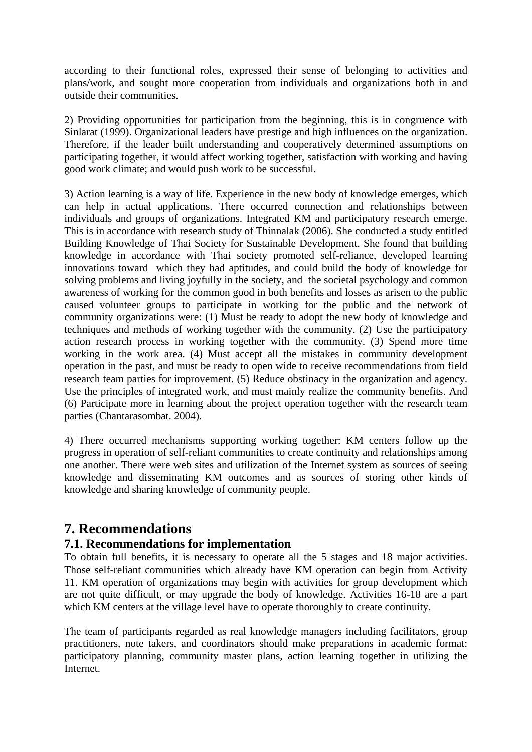according to their functional roles, expressed their sense of belonging to activities and plans/work, and sought more cooperation from individuals and organizations both in and outside their communities.

2) Providing opportunities for participation from the beginning, this is in congruence with Sinlarat (1999). Organizational leaders have prestige and high influences on the organization. Therefore, if the leader built understanding and cooperatively determined assumptions on participating together, it would affect working together, satisfaction with working and having good work climate; and would push work to be successful.

3) Action learning is a way of life. Experience in the new body of knowledge emerges, which can help in actual applications. There occurred connection and relationships between individuals and groups of organizations. Integrated KM and participatory research emerge. This is in accordance with research study of Thinnalak (2006). She conducted a study entitled Building Knowledge of Thai Society for Sustainable Development. She found that building knowledge in accordance with Thai society promoted self-reliance, developed learning innovations toward which they had aptitudes, and could build the body of knowledge for solving problems and living joyfully in the society, and the societal psychology and common awareness of working for the common good in both benefits and losses as arisen to the public caused volunteer groups to participate in working for the public and the network of community organizations were: (1) Must be ready to adopt the new body of knowledge and techniques and methods of working together with the community. (2) Use the participatory action research process in working together with the community. (3) Spend more time working in the work area. (4) Must accept all the mistakes in community development operation in the past, and must be ready to open wide to receive recommendations from field research team parties for improvement. (5) Reduce obstinacy in the organization and agency. Use the principles of integrated work, and must mainly realize the community benefits. And (6) Participate more in learning about the project operation together with the research team parties (Chantarasombat. 2004).

4) There occurred mechanisms supporting working together: KM centers follow up the progress in operation of self-reliant communities to create continuity and relationships among one another. There were web sites and utilization of the Internet system as sources of seeing knowledge and disseminating KM outcomes and as sources of storing other kinds of knowledge and sharing knowledge of community people.

# **7. Recommendations**

#### **7.1. Recommendations for implementation**

To obtain full benefits, it is necessary to operate all the 5 stages and 18 major activities. Those self-reliant communities which already have KM operation can begin from Activity 11. KM operation of organizations may begin with activities for group development which are not quite difficult, or may upgrade the body of knowledge. Activities 16-18 are a part which KM centers at the village level have to operate thoroughly to create continuity.

The team of participants regarded as real knowledge managers including facilitators, group practitioners, note takers, and coordinators should make preparations in academic format: participatory planning, community master plans, action learning together in utilizing the Internet.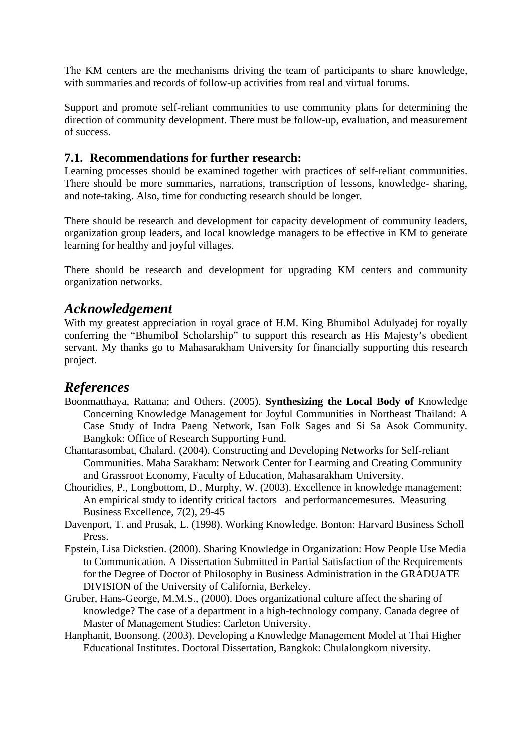The KM centers are the mechanisms driving the team of participants to share knowledge, with summaries and records of follow-up activities from real and virtual forums.

Support and promote self-reliant communities to use community plans for determining the direction of community development. There must be follow-up, evaluation, and measurement of success.

#### **7.1. Recommendations for further research:**

Learning processes should be examined together with practices of self-reliant communities. There should be more summaries, narrations, transcription of lessons, knowledge- sharing, and note-taking. Also, time for conducting research should be longer.

There should be research and development for capacity development of community leaders, organization group leaders, and local knowledge managers to be effective in KM to generate learning for healthy and joyful villages.

There should be research and development for upgrading KM centers and community organization networks.

#### *Acknowledgement*

With my greatest appreciation in royal grace of H.M. King Bhumibol Adulyadej for royally conferring the "Bhumibol Scholarship" to support this research as His Majesty's obedient servant. My thanks go to Mahasarakham University for financially supporting this research project.

### *References*

- Boonmatthaya, Rattana; and Others. (2005). **Synthesizing the Local Body of** Knowledge Concerning Knowledge Management for Joyful Communities in Northeast Thailand: A Case Study of Indra Paeng Network, Isan Folk Sages and Si Sa Asok Community. Bangkok: Office of Research Supporting Fund.
- Chantarasombat, Chalard. (2004). Constructing and Developing Networks for Self-reliant Communities. Maha Sarakham: Network Center for Learming and Creating Community and Grassroot Economy, Faculty of Education, Mahasarakham University.
- Chouridies, P., Longbottom, D., Murphy, W. (2003). Excellence in knowledge management: An empirical study to identify critical factors and performancemesures. Measuring Business Excellence, 7(2), 29-45
- Davenport, T. and Prusak, L. (1998). Working Knowledge. Bonton: Harvard Business Scholl Press.
- Epstein, Lisa Dickstien. (2000). Sharing Knowledge in Organization: How People Use Media to Communication. A Dissertation Submitted in Partial Satisfaction of the Requirements for the Degree of Doctor of Philosophy in Business Administration in the GRADUATE DIVISION of the University of California, Berkeley.
- Gruber, Hans-George, M.M.S., (2000). Does organizational culture affect the sharing of knowledge? The case of a department in a high-technology company. Canada degree of Master of Management Studies: Carleton University.
- Hanphanit, Boonsong. (2003). Developing a Knowledge Management Model at Thai Higher Educational Institutes. Doctoral Dissertation, Bangkok: Chulalongkorn niversity.